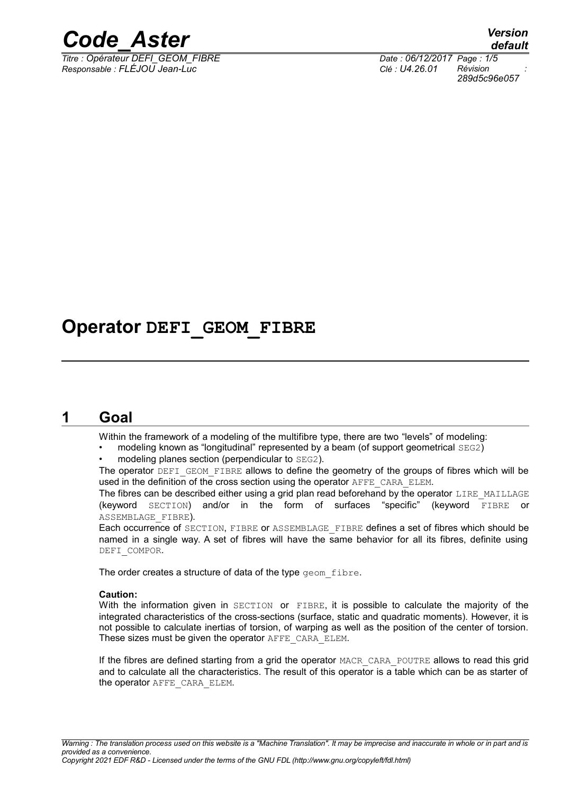

*Titre : Opérateur DEFI\_GEOM\_FIBRE Date : 06/12/2017 Page : 1/5 Responsable : FLÉJOU Jean-Luc Clé : U4.26.01 Révision :*

*default 289d5c96e057*

## **Operator DEFI\_GEOM\_FIBRE**

## **1 Goal**

Within the framework of a modeling of the multifibre type, there are two "levels" of modeling:

- modeling known as "longitudinal" represented by a beam (of support geometrical SEG2)
- modeling planes section (perpendicular to SEG2).

The operator DEFI\_GEOM\_FIBRE allows to define the geometry of the groups of fibres which will be used in the definition of the cross section using the operator AFFE\_CARA\_ELEM.

The fibres can be described either using a grid plan read beforehand by the operator LIRE\_MAILLAGE (keyword SECTION) and/or in the form of surfaces "specific" (keyword FIBRE or ASSEMBLAGE\_FIBRE).

Each occurrence of SECTION, FIBRE or ASSEMBLAGE\_FIBRE defines a set of fibres which should be named in a single way. A set of fibres will have the same behavior for all its fibres, definite using DEFI\_COMPOR.

The order creates a structure of data of the type geom fibre.

#### **Caution:**

With the information given in SECTION or FIBRE, it is possible to calculate the majority of the integrated characteristics of the cross-sections (surface, static and quadratic moments). However, it is not possible to calculate inertias of torsion, of warping as well as the position of the center of torsion. These sizes must be given the operator AFFE\_CARA\_ELEM.

If the fibres are defined starting from a grid the operator MACR\_CARA\_POUTRE allows to read this grid and to calculate all the characteristics. The result of this operator is a table which can be as starter of the operator AFFE\_CARA\_ELEM.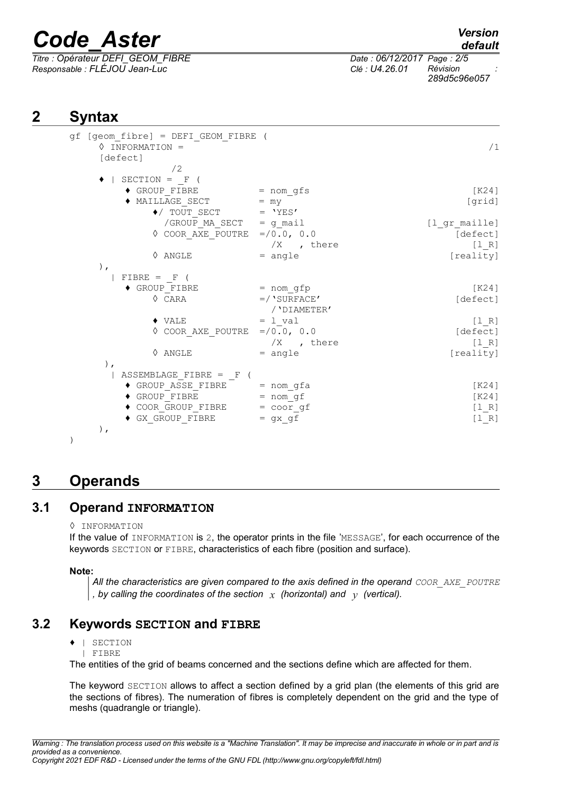*Titre : Opérateur DEFI\_GEOM\_FIBRE Date : 06/12/2017 Page : 2/5 Responsable : FLÉJOU Jean-Luc Clé : U4.26.01 Révision :*

*default*

*289d5c96e057*

## **2 Syntax**

| $gf$ [geom_fibre] = $DEFI_GEOM_FIBRE$ (<br>$\Diamond$ INFORMATION =<br>[defect] |                                | /1            |
|---------------------------------------------------------------------------------|--------------------------------|---------------|
| /2                                                                              |                                |               |
| $\bullet$   SECTION = F (                                                       |                                |               |
| $\blacklozenge$ GROUP FIBRE                                                     | = nom gfs                      | [K24]         |
| $\blacklozenge$ MAILLAGE_SECT                                                   | $= \, \text{my}$               | [grid]        |
| $\blacklozenge$ / TOUT_SECT                                                     | $=$ 'YES'                      |               |
| /GROUP MA SECT = g mail                                                         |                                | [1 gr maille] |
| ♦ COOR AXE POUTRE                                                               | $= / 0.0, 0.0$                 | [defect]      |
|                                                                                 | $/X$ , there                   | $[1 R]$       |
| $\Diamond$ ANGLE                                                                | $=$ angle                      | [reality]     |
| $\,$ ,                                                                          |                                |               |
| $FIBRE = F$ (                                                                   |                                |               |
| $\blacklozenge$ GROUP FIBRE                                                     | = nom gfp                      | [K24]         |
| $\Diamond$ CARA                                                                 | $=$ /'SURFACE'<br>/ 'DIAMETER' | [defect]      |
| $\blacklozenge$ VALE                                                            | $= 1$ val                      | [1 R]         |
| $\Diamond$ COOR AXE POUTRE =/0.0, 0.0                                           |                                | [defect]      |
|                                                                                 | $/X$ , there                   | [1 R]         |
| $\Diamond$ ANGLE                                                                | $=$ angle                      | [reality]     |
| $)$ ,                                                                           |                                |               |
| ASSEMBLAGE FIBRE = $F$ (                                                        |                                |               |
| $\bullet$ GROUP ASSE_FIBRE = nom_gfa                                            |                                | [K24]         |
| ◆ GROUP FIBRE = nom gf                                                          |                                | [K24]         |
| ◆ COOR GROUP FIBRE = coor gf                                                    |                                | [1 R]         |
| $\blacklozenge$ GX GROUP FIBRE                                                  | $=$ gx gf                      | $[1 R]$       |
| $)$ ,                                                                           |                                |               |

## **3 Operands**

#### **3.1 Operand INFORMATION**

◊ INFORMATION

If the value of INFORMATION is 2, the operator prints in the file 'MESSAGE', for each occurrence of the keywords SECTION or FIBRE, characteristics of each fibre (position and surface).

**Note:**

*All the characteristics are given compared to the axis defined in the operand COOR\_AXE\_POUTRE , by calling the coordinates of the section x (horizontal) and y (vertical).*

### **3.2 Keywords SECTION and FIBRE**

- ♦ | SECTION
- | FIBRE

The entities of the grid of beams concerned and the sections define which are affected for them.

The keyword SECTION allows to affect a section defined by a grid plan (the elements of this grid are the sections of fibres). The numeration of fibres is completely dependent on the grid and the type of meshs (quadrangle or triangle).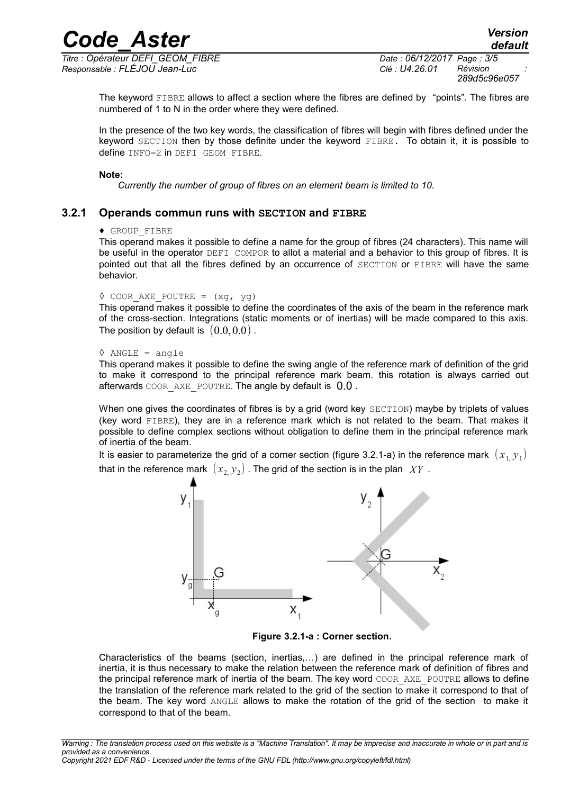*Titre : Opérateur DEFI\_GEOM\_FIBRE Date : 06/12/2017 Page : 3/5 Responsable : FLÉJOU Jean-Luc Clé : U4.26.01 Révision :*

*289d5c96e057*

The keyword FIBRE allows to affect a section where the fibres are defined by "points". The fibres are numbered of 1 to N in the order where they were defined.

In the presence of the two key words, the classification of fibres will begin with fibres defined under the keyword SECTION then by those definite under the keyword FIBRE. To obtain it, it is possible to define INFO=2 in DEFI\_GEOM\_FIBRE.

#### **Note:**

*Currently the number of group of fibres on an element beam is limited to 10.*

#### **3.2.1 Operands commun runs with SECTION and FIBRE**

#### ♦ GROUP\_FIBRE

This operand makes it possible to define a name for the group of fibres (24 characters). This name will be useful in the operator DEFI\_COMPOR to allot a material and a behavior to this group of fibres. It is pointed out that all the fibres defined by an occurrence of SECTION or FIBRE will have the same behavior.

```
\Diamond COOR AXE POUTRE = (xg, yg)
```
This operand makes it possible to define the coordinates of the axis of the beam in the reference mark of the cross-section. Integrations (static moments or of inertias) will be made compared to this axis. The position by default is  $(0.0,0.0)$ .

```
\Diamond ANGLE = angle
```
This operand makes it possible to define the swing angle of the reference mark of definition of the grid to make it correspond to the principal reference mark beam. this rotation is always carried out afterwards COOR AXE POUTRE. The angle by default is 0.0.

When one gives the coordinates of fibres is by a grid (word key SECTION) maybe by triplets of values (key word FIBRE), they are in a reference mark which is not related to the beam. That makes it possible to define complex sections without obligation to define them in the principal reference mark of inertia of the beam.

It is easier to parameterize the grid of a corner section (figure [3.2.1-a\)](#page-2-0) in the reference mark  $\, (x_{1,}^{} y_{1}) \,$ that in the reference mark  $\,\left(\,x_{_{2,}} y_{_{2}}\right)$  . The grid of the section is in the plan  $\,\,XY$  .



<span id="page-2-0"></span>**Figure 3.2.1-a : Corner section.**

Characteristics of the beams (section, inertias,…) are defined in the principal reference mark of inertia, it is thus necessary to make the relation between the reference mark of definition of fibres and the principal reference mark of inertia of the beam. The key word COOR AXE POUTRE allows to define the translation of the reference mark related to the grid of the section to make it correspond to that of the beam. The key word ANGLE allows to make the rotation of the grid of the section to make it correspond to that of the beam.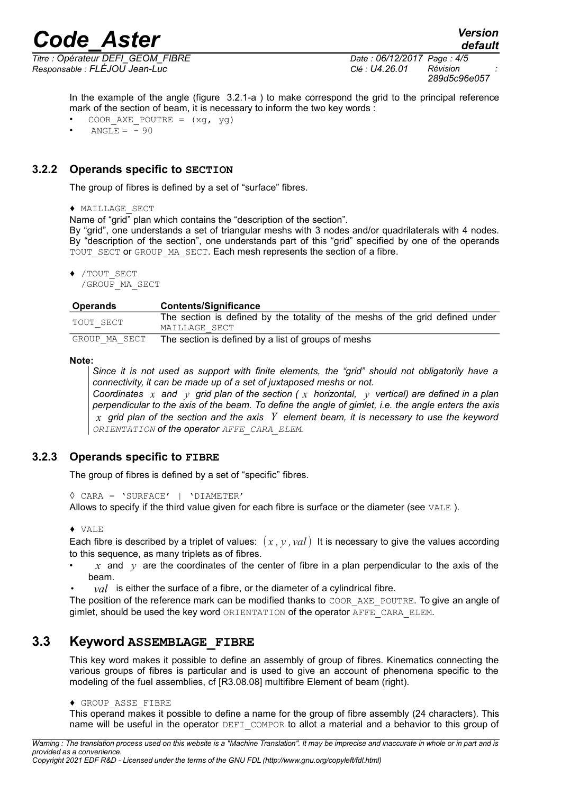*Titre : Opérateur DEFI\_GEOM\_FIBRE Date : 06/12/2017 Page : 4/5 Responsable : FLÉJOU Jean-Luc Clé : U4.26.01 Révision :*

*289d5c96e057*

In the example of the angle (figure 3.2.1-a) to make correspond the grid to the principal reference mark of the section of beam, it is necessary to inform the two key words :

- COOR AXE POUTRE =  $(xq, yq)$
- $ANGLE = -90$

#### **3.2.2 Operands specific to SECTION**

The group of fibres is defined by a set of "surface" fibres.

♦ MAILLAGE\_SECT

Name of "grid" plan which contains the "description of the section".

By "grid", one understands a set of triangular meshs with 3 nodes and/or quadrilaterals with 4 nodes. By "description of the section", one understands part of this "grid" specified by one of the operands TOUT SECT or GROUP MA SECT. Each mesh represents the section of a fibre.

♦ /TOUT\_SECT

/GROUP\_MA\_SECT

| <b>Operands</b> | <b>Contents/Significance</b>                                                                   |
|-----------------|------------------------------------------------------------------------------------------------|
| TOUT SECT       | The section is defined by the totality of the meshs of the grid defined under<br>MAILLAGE SECT |
| GROUP MA SECT   | The section is defined by a list of groups of meshs                                            |

**Note:**

*Since it is not used as support with finite elements, the "grid" should not obligatorily have a connectivity, it can be made up of a set of juxtaposed meshs or not. Coordinates x and y grid plan of the section ( x horizontal, y vertical) are defined in a plan perpendicular to the axis of the beam. To define the angle of gimlet, i.e. the angle enters the axis x grid plan of the section and the axis Y element beam, it is necessary to use the keyword ORIENTATION of the operator AFFE\_CARA\_ELEM.*

#### **3.2.3 Operands specific to FIBRE**

The group of fibres is defined by a set of "specific" fibres.

◊ CARA = 'SURFACE' | 'DIAMETER'

Allows to specify if the third value given for each fibre is surface or the diameter (see VALE ).

♦ VALE

Each fibre is described by a triplet of values:  $(x, y, val)$  It is necessary to give the values according to this sequence, as many triplets as of fibres.

- $x \text{ and } y$  are the coordinates of the center of fibre in a plan perpendicular to the axis of the beam.
- $val$  is either the surface of a fibre, or the diameter of a cylindrical fibre.

The position of the reference mark can be modified thanks to COOR\_AXE\_POUTRE. To give an angle of gimlet, should be used the key word ORIENTATION of the operator AFFE\_CARA\_ELEM.

#### **3.3 Keyword ASSEMBLAGE\_FIBRE**

This key word makes it possible to define an assembly of group of fibres. Kinematics connecting the various groups of fibres is particular and is used to give an account of phenomena specific to the modeling of the fuel assemblies, cf [R3.08.08] multifibre Element of beam (right).

♦ GROUP\_ASSE\_FIBRE

This operand makes it possible to define a name for the group of fibre assembly (24 characters). This name will be useful in the operator DEFI COMPOR to allot a material and a behavior to this group of